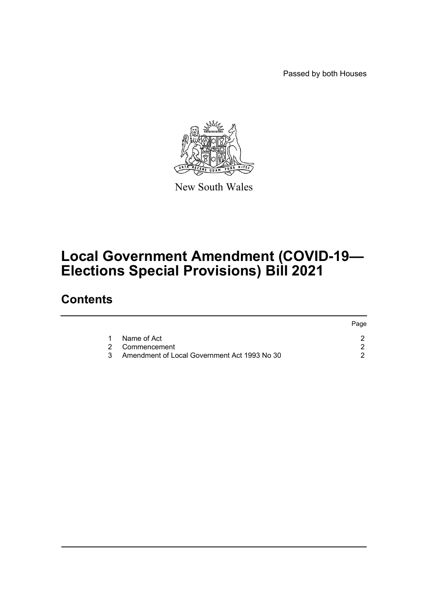Passed by both Houses



New South Wales

## **Local Government Amendment (COVID-19— Elections Special Provisions) Bill 2021**

### **Contents**

|                                                | Page |
|------------------------------------------------|------|
| Name of Act                                    |      |
| 2 Commencement                                 |      |
| 3 Amendment of Local Government Act 1993 No 30 |      |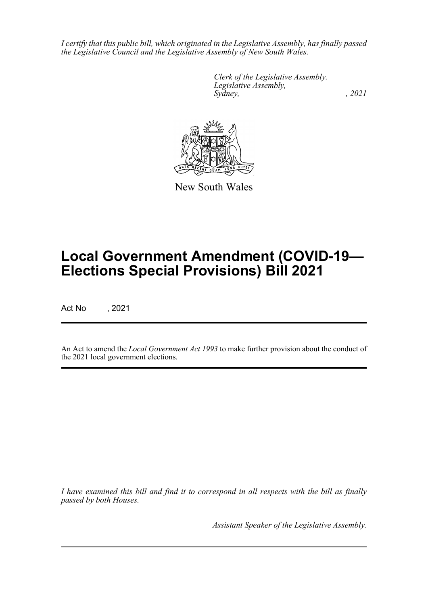*I certify that this public bill, which originated in the Legislative Assembly, has finally passed the Legislative Council and the Legislative Assembly of New South Wales.*

> *Clerk of the Legislative Assembly. Legislative Assembly, Sydney, , 2021*



New South Wales

# **Local Government Amendment (COVID-19— Elections Special Provisions) Bill 2021**

Act No , 2021

An Act to amend the *Local Government Act 1993* to make further provision about the conduct of the 2021 local government elections.

*I have examined this bill and find it to correspond in all respects with the bill as finally passed by both Houses.*

*Assistant Speaker of the Legislative Assembly.*